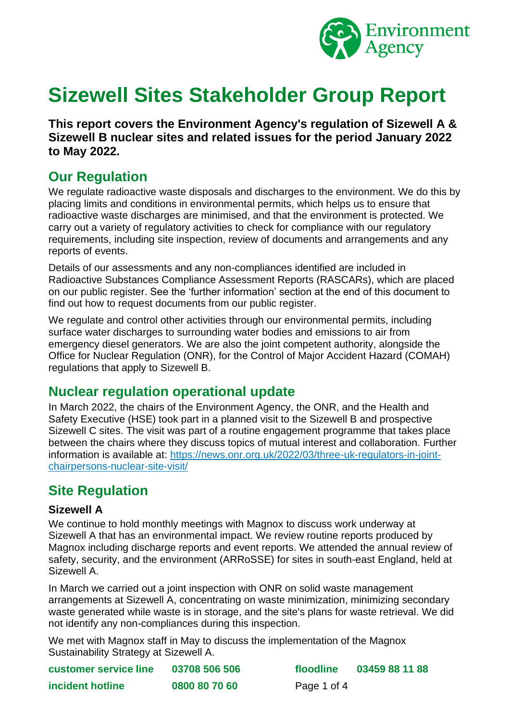

# **Sizewell Sites Stakeholder Group Report**

**This report covers the Environment Agency's regulation of Sizewell A & Sizewell B nuclear sites and related issues for the period January 2022 to May 2022.**

# **Our Regulation**

We regulate radioactive waste disposals and discharges to the environment. We do this by placing limits and conditions in environmental permits, which helps us to ensure that radioactive waste discharges are minimised, and that the environment is protected. We carry out a variety of regulatory activities to check for compliance with our regulatory requirements, including site inspection, review of documents and arrangements and any reports of events.

Details of our assessments and any non-compliances identified are included in Radioactive Substances Compliance Assessment Reports (RASCARs), which are placed on our public register. See the 'further information' section at the end of this document to find out how to request documents from our public register.

We regulate and control other activities through our environmental permits, including surface water discharges to surrounding water bodies and emissions to air from emergency diesel generators. We are also the joint competent authority, alongside the Office for Nuclear Regulation (ONR), for the Control of Major Accident Hazard (COMAH) regulations that apply to Sizewell B.

# **Nuclear regulation operational update**

In March 2022, the chairs of the Environment Agency, the ONR, and the Health and Safety Executive (HSE) took part in a planned visit to the Sizewell B and prospective Sizewell C sites. The visit was part of a routine engagement programme that takes place between the chairs where they discuss topics of mutual interest and collaboration. Further information is available at: [https://news.onr.org.uk/2022/03/three-uk-regulators-in-joint](https://news.onr.org.uk/2022/03/three-uk-regulators-in-joint-chairpersons-nuclear-site-visit/)[chairpersons-nuclear-site-visit/](https://news.onr.org.uk/2022/03/three-uk-regulators-in-joint-chairpersons-nuclear-site-visit/)

# **Site Regulation**

#### **Sizewell A**

We continue to hold monthly meetings with Magnox to discuss work underway at Sizewell A that has an environmental impact. We review routine reports produced by Magnox including discharge reports and event reports. We attended the annual review of safety, security, and the environment (ARRoSSE) for sites in south-east England, held at Sizewell A.

In March we carried out a joint inspection with ONR on solid waste management arrangements at Sizewell A, concentrating on waste minimization, minimizing secondary waste generated while waste is in storage, and the site's plans for waste retrieval. We did not identify any non-compliances during this inspection.

We met with Magnox staff in May to discuss the implementation of the Magnox Sustainability Strategy at Sizewell A.

| <b>customer service line</b> | 03708 506 506 | floodline   | 03459 88 11 88 |
|------------------------------|---------------|-------------|----------------|
| incident hotline             | 0800 80 70 60 | Page 1 of 4 |                |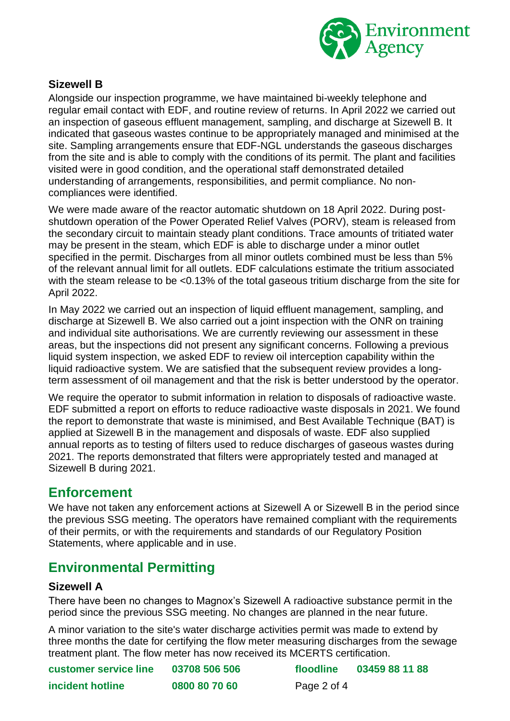

#### **Sizewell B**

Alongside our inspection programme, we have maintained bi-weekly telephone and regular email contact with EDF, and routine review of returns. In April 2022 we carried out an inspection of gaseous effluent management, sampling, and discharge at Sizewell B. It indicated that gaseous wastes continue to be appropriately managed and minimised at the site. Sampling arrangements ensure that EDF-NGL understands the gaseous discharges from the site and is able to comply with the conditions of its permit. The plant and facilities visited were in good condition, and the operational staff demonstrated detailed understanding of arrangements, responsibilities, and permit compliance. No noncompliances were identified.

We were made aware of the reactor automatic shutdown on 18 April 2022. During postshutdown operation of the Power Operated Relief Valves (PORV), steam is released from the secondary circuit to maintain steady plant conditions. Trace amounts of tritiated water may be present in the steam, which EDF is able to discharge under a minor outlet specified in the permit. Discharges from all minor outlets combined must be less than 5% of the relevant annual limit for all outlets. EDF calculations estimate the tritium associated with the steam release to be <0.13% of the total gaseous tritium discharge from the site for April 2022.

In May 2022 we carried out an inspection of liquid effluent management, sampling, and discharge at Sizewell B. We also carried out a joint inspection with the ONR on training and individual site authorisations. We are currently reviewing our assessment in these areas, but the inspections did not present any significant concerns. Following a previous liquid system inspection, we asked EDF to review oil interception capability within the liquid radioactive system. We are satisfied that the subsequent review provides a longterm assessment of oil management and that the risk is better understood by the operator.

We require the operator to submit information in relation to disposals of radioactive waste. EDF submitted a report on efforts to reduce radioactive waste disposals in 2021. We found the report to demonstrate that waste is minimised, and Best Available Technique (BAT) is applied at Sizewell B in the management and disposals of waste. EDF also supplied annual reports as to testing of filters used to reduce discharges of gaseous wastes during 2021. The reports demonstrated that filters were appropriately tested and managed at Sizewell B during 2021.

# **Enforcement**

We have not taken any enforcement actions at Sizewell A or Sizewell B in the period since the previous SSG meeting. The operators have remained compliant with the requirements of their permits, or with the requirements and standards of our Regulatory Position Statements, where applicable and in use.

# **Environmental Permitting**

#### **Sizewell A**

There have been no changes to Magnox's Sizewell A radioactive substance permit in the period since the previous SSG meeting. No changes are planned in the near future.

A minor variation to the site's water discharge activities permit was made to extend by three months the date for certifying the flow meter measuring discharges from the sewage treatment plant. The flow meter has now received its MCERTS certification.

| <b>customer service line</b> | 03708 506 506 | floodline   | 03459 88 11 88 |
|------------------------------|---------------|-------------|----------------|
| incident hotline             | 0800 80 70 60 | Page 2 of 4 |                |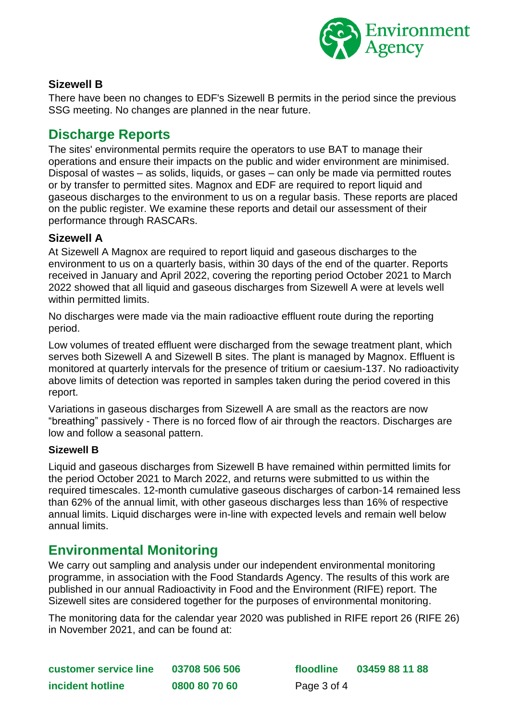

#### **Sizewell B**

There have been no changes to EDF's Sizewell B permits in the period since the previous SSG meeting. No changes are planned in the near future.

## **Discharge Reports**

The sites' environmental permits require the operators to use BAT to manage their operations and ensure their impacts on the public and wider environment are minimised. Disposal of wastes – as solids, liquids, or gases – can only be made via permitted routes or by transfer to permitted sites. Magnox and EDF are required to report liquid and gaseous discharges to the environment to us on a regular basis. These reports are placed on the public register. We examine these reports and detail our assessment of their performance through RASCARs.

#### **Sizewell A**

At Sizewell A Magnox are required to report liquid and gaseous discharges to the environment to us on a quarterly basis, within 30 days of the end of the quarter. Reports received in January and April 2022, covering the reporting period October 2021 to March 2022 showed that all liquid and gaseous discharges from Sizewell A were at levels well within permitted limits.

No discharges were made via the main radioactive effluent route during the reporting period.

Low volumes of treated effluent were discharged from the sewage treatment plant, which serves both Sizewell A and Sizewell B sites. The plant is managed by Magnox. Effluent is monitored at quarterly intervals for the presence of tritium or caesium-137. No radioactivity above limits of detection was reported in samples taken during the period covered in this report.

Variations in gaseous discharges from Sizewell A are small as the reactors are now "breathing" passively - There is no forced flow of air through the reactors. Discharges are low and follow a seasonal pattern.

#### **Sizewell B**

Liquid and gaseous discharges from Sizewell B have remained within permitted limits for the period October 2021 to March 2022, and returns were submitted to us within the required timescales. 12-month cumulative gaseous discharges of carbon-14 remained less than 62% of the annual limit, with other gaseous discharges less than 16% of respective annual limits. Liquid discharges were in-line with expected levels and remain well below annual limits.

### **Environmental Monitoring**

We carry out sampling and analysis under our independent environmental monitoring programme, in association with the Food Standards Agency. The results of this work are published in our annual Radioactivity in Food and the Environment (RIFE) report. The Sizewell sites are considered together for the purposes of environmental monitoring.

The monitoring data for the calendar year 2020 was published in RIFE report 26 [\(RIFE 26\)](https://www.food.gov.uk/sites/default/files/rife-2015.pdf) in November 2021, and can be found at:

**customer service line 03708 506 506 floodline 03459 88 11 88 incident hotline 0800 80 70 60** Page 3 of 4